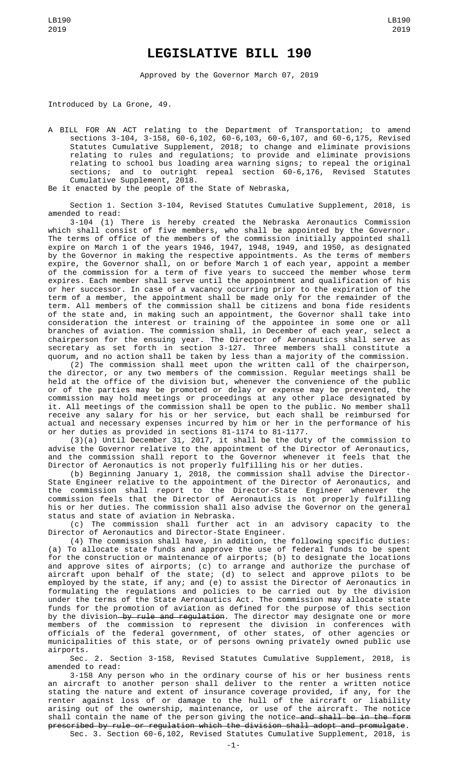## **LEGISLATIVE BILL 190**

Approved by the Governor March 07, 2019

Introduced by La Grone, 49.

A BILL FOR AN ACT relating to the Department of Transportation; to amend sections 3-104, 3-158, 60-6,102, 60-6,103, 60-6,107, and 60-6,175, Revised Statutes Cumulative Supplement, 2018; to change and eliminate provisions relating to rules and regulations; to provide and eliminate provisions relating to school bus loading area warning signs; to repeal the original sections; and to outright repeal section 60-6,176, Revised Statutes Cumulative Supplement, 2018.

Be it enacted by the people of the State of Nebraska,

Section 1. Section 3-104, Revised Statutes Cumulative Supplement, 2018, is amended to read:

3-104 (1) There is hereby created the Nebraska Aeronautics Commission which shall consist of five members, who shall be appointed by the Governor. The terms of office of the members of the commission initially appointed shall expire on March 1 of the years 1946, 1947, 1948, 1949, and 1950, as designated by the Governor in making the respective appointments. As the terms of members expire, the Governor shall, on or before March 1 of each year, appoint a member of the commission for a term of five years to succeed the member whose term expires. Each member shall serve until the appointment and qualification of his or her successor. In case of a vacancy occurring prior to the expiration of the term of a member, the appointment shall be made only for the remainder of the term. All members of the commission shall be citizens and bona fide residents of the state and, in making such an appointment, the Governor shall take into consideration the interest or training of the appointee in some one or all branches of aviation. The commission shall, in December of each year, select a chairperson for the ensuing year. The Director of Aeronautics shall serve as secretary as set forth in section 3-127. Three members shall constitute a quorum, and no action shall be taken by less than a majority of the commission.

(2) The commission shall meet upon the written call of the chairperson, the director, or any two members of the commission. Regular meetings shall be held at the office of the division but, whenever the convenience of the public or of the parties may be promoted or delay or expense may be prevented, the commission may hold meetings or proceedings at any other place designated by it. All meetings of the commission shall be open to the public. No member shall receive any salary for his or her service, but each shall be reimbursed for actual and necessary expenses incurred by him or her in the performance of his or her duties as provided in sections 81-1174 to 81-1177.

(3)(a) Until December 31, 2017, it shall be the duty of the commission to advise the Governor relative to the appointment of the Director of Aeronautics, and the commission shall report to the Governor whenever it feels that the Director of Aeronautics is not properly fulfilling his or her duties.

(b) Beginning January 1, 2018, the commission shall advise the Director-State Engineer relative to the appointment of the Director of Aeronautics, and the commission shall report to the Director-State Engineer whenever the commission feels that the Director of Aeronautics is not properly fulfilling his or her duties. The commission shall also advise the Governor on the general status and state of aviation in Nebraska.

(c) The commission shall further act in an advisory capacity to the Director of Aeronautics and Director-State Engineer.

(4) The commission shall have, in addition, the following specific duties: (a) To allocate state funds and approve the use of federal funds to be spent for the construction or maintenance of airports; (b) to designate the locations and approve sites of airports; (c) to arrange and authorize the purchase of aircraft upon behalf of the state; (d) to select and approve pilots to be employed by the state, if any; and (e) to assist the Director of Aeronautics in formulating the regulations and policies to be carried out by the division under the terms of the State Aeronautics Act. The commission may allocate state funds for the promotion of aviation as defined for the purpose of this section by the division by rule and regulation. The director may designate one or more members of the commission to represent the division in conferences with officials of the federal government, of other states, of other agencies or municipalities of this state, or of persons owning privately owned public use airports.

Sec. 2. Section 3-158, Revised Statutes Cumulative Supplement, 2018, is amended to read:

3-158 Any person who in the ordinary course of his or her business rents an aircraft to another person shall deliver to the renter a written notice stating the nature and extent of insurance coverage provided, if any, for the renter against loss of or damage to the hull of the aircraft or liability arising out of the ownership, maintenance, or use of the aircraft. The notice shall contain the name of the person giving the notice and shall be in the form prescribed by rule or regulation which the division shall adopt and promulgate. Sec. 3. Section 60-6,102, Revised Statutes Cumulative Supplement, 2018, is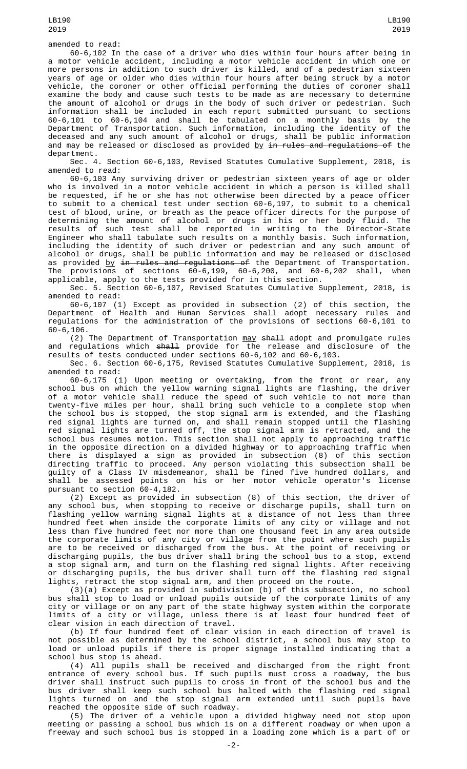LB190 2019

60-6,102 In the case of a driver who dies within four hours after being in a motor vehicle accident, including a motor vehicle accident in which one or more persons in addition to such driver is killed, and of a pedestrian sixteen years of age or older who dies within four hours after being struck by a motor vehicle, the coroner or other official performing the duties of coroner shall examine the body and cause such tests to be made as are necessary to determine the amount of alcohol or drugs in the body of such driver or pedestrian. Such information shall be included in each report submitted pursuant to sections 60-6,101 to 60-6,104 and shall be tabulated on a monthly basis by the Department of Transportation. Such information, including the identity of the deceased and any such amount of alcohol or drugs, shall be public information and may be released or disclosed as provided by in rules and regulations of the department.

Sec. 4. Section 60-6,103, Revised Statutes Cumulative Supplement, 2018, is amended to read:

60-6,103 Any surviving driver or pedestrian sixteen years of age or older who is involved in a motor vehicle accident in which a person is killed shall be requested, if he or she has not otherwise been directed by a peace officer to submit to a chemical test under section 60-6,197, to submit to a chemical test of blood, urine, or breath as the peace officer directs for the purpose of determining the amount of alcohol or drugs in his or her body fluid. The results of such test shall be reported in writing to the Director-State Engineer who shall tabulate such results on a monthly basis. Such information, including the identity of such driver or pedestrian and any such amount of alcohol or drugs, shall be public information and may be released or disclosed as provided <u>by <del>in rules and regulations of</del> the Department of Transportation.</u> The provisions of sections 60-6,199, 60-6,200, and 60-6,202 shall, when applicable, apply to the tests provided for in this section.

Sec. 5. Section 60-6,107, Revised Statutes Cumulative Supplement, 2018, is amended to read:

60-6,107 (1) Except as provided in subsection (2) of this section, the Department of Health and Human Services shall adopt necessary rules and regulations for the administration of the provisions of sections 60-6,101 to 60-6,106.

(2) The Department of Transportation may shall adopt and promulgate rules and regulations which shall provide for the release and disclosure of the results of tests conducted under sections 60-6,102 and 60-6,103.

Sec. 6. Section 60-6,175, Revised Statutes Cumulative Supplement, 2018, is amended to read:

60-6,175 (1) Upon meeting or overtaking, from the front or rear, any school bus on which the yellow warning signal lights are flashing, the driver of a motor vehicle shall reduce the speed of such vehicle to not more than twenty-five miles per hour, shall bring such vehicle to a complete stop when the school bus is stopped, the stop signal arm is extended, and the flashing red signal lights are turned on, and shall remain stopped until the flashing red signal lights are turned off, the stop signal arm is retracted, and the school bus resumes motion. This section shall not apply to approaching traffic in the opposite direction on a divided highway or to approaching traffic when there is displayed a sign as provided in subsection (8) of this section directing traffic to proceed. Any person violating this subsection shall be guilty of a Class IV misdemeanor, shall be fined five hundred dollars, and shall be assessed points on his or her motor vehicle operator's license pursuant to section 60-4,182.

(2) Except as provided in subsection (8) of this section, the driver of any school bus, when stopping to receive or discharge pupils, shall turn on flashing yellow warning signal lights at a distance of not less than three hundred feet when inside the corporate limits of any city or village and not less than five hundred feet nor more than one thousand feet in any area outside the corporate limits of any city or village from the point where such pupils are to be received or discharged from the bus. At the point of receiving or discharging pupils, the bus driver shall bring the school bus to a stop, extend a stop signal arm, and turn on the flashing red signal lights. After receiving or discharging pupils, the bus driver shall turn off the flashing red signal lights, retract the stop signal arm, and then proceed on the route.

(3)(a) Except as provided in subdivision (b) of this subsection, no school bus shall stop to load or unload pupils outside of the corporate limits of any city or village or on any part of the state highway system within the corporate limits of a city or village, unless there is at least four hundred feet of clear vision in each direction of travel.

(b) If four hundred feet of clear vision in each direction of travel is not possible as determined by the school district, a school bus may stop to load or unload pupils if there is proper signage installed indicating that a school bus stop is ahead.

(4) All pupils shall be received and discharged from the right front entrance of every school bus. If such pupils must cross a roadway, the bus driver shall instruct such pupils to cross in front of the school bus and the bus driver shall keep such school bus halted with the flashing red signal lights turned on and the stop signal arm extended until such pupils have reached the opposite side of such roadway.

(5) The driver of a vehicle upon a divided highway need not stop upon meeting or passing a school bus which is on a different roadway or when upon a freeway and such school bus is stopped in a loading zone which is a part of or